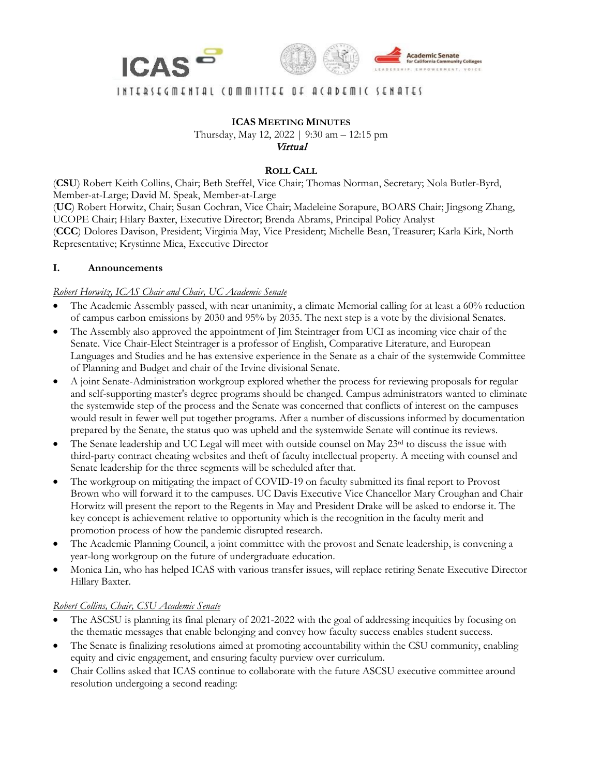



# INIEBIECWENIAL (OWWILIEE OL U(UDEWIC IENUIE)

**ICAS MEETING MINUTES** Thursday, May 12, 2022 | 9:30 am – 12:15 pm Virtual

#### **ROLL CALL**

(**CSU**) Robert Keith Collins, Chair; Beth Steffel, Vice Chair; Thomas Norman, Secretary; Nola Butler-Byrd, Member-at-Large; David M. Speak, Member-at-Large (**UC**) Robert Horwitz, Chair; Susan Cochran, Vice Chair; Madeleine Sorapure, BOARS Chair; Jingsong Zhang, UCOPE Chair; Hilary Baxter, Executive Director; Brenda Abrams, Principal Policy Analyst (**CCC**) Dolores Davison, President; Virginia May, Vice President; Michelle Bean, Treasurer; Karla Kirk, North Representative; Krystinne Mica, Executive Director

#### **I. Announcements**

#### *Robert Horwitz, ICAS Chair and Chair, UC Academic Senate*

- The Academic Assembly passed, with near unanimity, a climate Memorial calling for at least a 60% reduction of campus carbon emissions by 2030 and 95% by 2035. The next step is a vote by the divisional Senates.
- The Assembly also approved the appointment of Jim Steintrager from UCI as incoming vice chair of the Senate. Vice Chair-Elect Steintrager is a professor of English, Comparative Literature, and European Languages and Studies and he has extensive experience in the Senate as a chair of the systemwide Committee of Planning and Budget and chair of the Irvine divisional Senate.
- A joint Senate-Administration workgroup explored whether the process for reviewing proposals for regular and self-supporting master's degree programs should be changed. Campus administrators wanted to eliminate the systemwide step of the process and the Senate was concerned that conflicts of interest on the campuses would result in fewer well put together programs. After a number of discussions informed by documentation prepared by the Senate, the status quo was upheld and the systemwide Senate will continue its reviews.
- The Senate leadership and UC Legal will meet with outside counsel on May 23rd to discuss the issue with third-party contract cheating websites and theft of faculty intellectual property. A meeting with counsel and Senate leadership for the three segments will be scheduled after that.
- The workgroup on mitigating the impact of COVID-19 on faculty submitted its final report to Provost Brown who will forward it to the campuses. UC Davis Executive Vice Chancellor Mary Croughan and Chair Horwitz will present the report to the Regents in May and President Drake will be asked to endorse it. The key concept is achievement relative to opportunity which is the recognition in the faculty merit and promotion process of how the pandemic disrupted research.
- The Academic Planning Council, a joint committee with the provost and Senate leadership, is convening a year-long workgroup on the future of undergraduate education.
- Monica Lin, who has helped ICAS with various transfer issues, will replace retiring Senate Executive Director Hillary Baxter.

### *Robert Collins, Chair, CSU Academic Senate*

- The ASCSU is planning its final plenary of 2021-2022 with the goal of addressing inequities by focusing on the thematic messages that enable belonging and convey how faculty success enables student success.
- The Senate is finalizing resolutions aimed at promoting accountability within the CSU community, enabling equity and civic engagement, and ensuring faculty purview over curriculum.
- Chair Collins asked that ICAS continue to collaborate with the future ASCSU executive committee around resolution undergoing a second reading: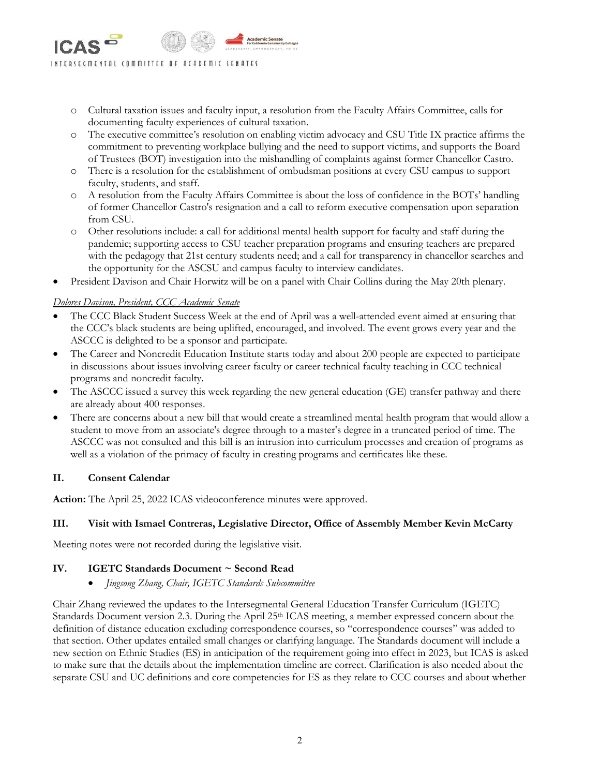- o Cultural taxation issues and faculty input, a resolution from the Faculty Affairs Committee, calls for documenting faculty experiences of cultural taxation.
- o The executive committee's resolution on enabling victim advocacy and CSU Title IX practice affirms the commitment to preventing workplace bullying and the need to support victims, and supports the Board of Trustees (BOT) investigation into the mishandling of complaints against former Chancellor Castro.
- o There is a resolution for the establishment of ombudsman positions at every CSU campus to support faculty, students, and staff.
- o A resolution from the Faculty Affairs Committee is about the loss of confidence in the BOTs' handling of former Chancellor Castro's resignation and a call to reform executive compensation upon separation from CSU.
- o Other resolutions include: a call for additional mental health support for faculty and staff during the pandemic; supporting access to CSU teacher preparation programs and ensuring teachers are prepared with the pedagogy that 21st century students need; and a call for transparency in chancellor searches and the opportunity for the ASCSU and campus faculty to interview candidates.
- President Davison and Chair Horwitz will be on a panel with Chair Collins during the May 20th plenary.

### *Dolores Davison, President, CCC Academic Senate*

- The CCC Black Student Success Week at the end of April was a well-attended event aimed at ensuring that the CCC's black students are being uplifted, encouraged, and involved. The event grows every year and the ASCCC is delighted to be a sponsor and participate.
- The Career and Noncredit Education Institute starts today and about 200 people are expected to participate in discussions about issues involving career faculty or career technical faculty teaching in CCC technical programs and noncredit faculty.
- The ASCCC issued a survey this week regarding the new general education (GE) transfer pathway and there are already about 400 responses.
- There are concerns about a new bill that would create a streamlined mental health program that would allow a student to move from an associate's degree through to a master's degree in a truncated period of time. The ASCCC was not consulted and this bill is an intrusion into curriculum processes and creation of programs as well as a violation of the primacy of faculty in creating programs and certificates like these.

### **II. Consent Calendar**

**Action:** The April 25, 2022 ICAS videoconference minutes were approved.

# **III. Visit with Ismael Contreras, Legislative Director, Office of Assembly Member Kevin McCarty**

Meeting notes were not recorded during the legislative visit.

# **IV. IGETC Standards Document ~ Second Read**

• *Jingsong Zhang, Chair, IGETC Standards Subcommittee*

Chair Zhang reviewed the updates to the Intersegmental General Education Transfer Curriculum (IGETC) Standards Document version 2.3. During the April 25<sup>th</sup> ICAS meeting, a member expressed concern about the definition of distance education excluding correspondence courses, so "correspondence courses" was added to that section. Other updates entailed small changes or clarifying language. The Standards document will include a new section on Ethnic Studies (ES) in anticipation of the requirement going into effect in 2023, but ICAS is asked to make sure that the details about the implementation timeline are correct. Clarification is also needed about the separate CSU and UC definitions and core competencies for ES as they relate to CCC courses and about whether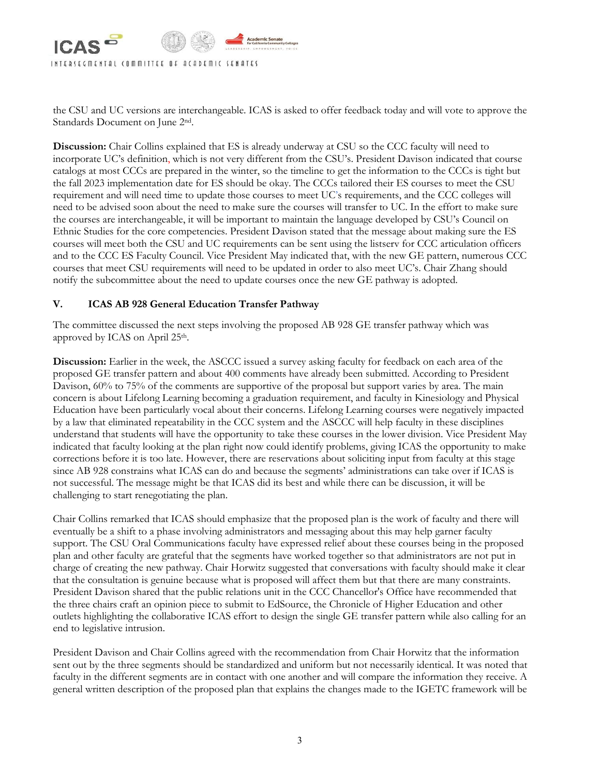

the CSU and UC versions are interchangeable. ICAS is asked to offer feedback today and will vote to approve the Standards Document on June 2nd.

**Discussion:** Chair Collins explained that ES is already underway at CSU so the CCC faculty will need to incorporate UC's definition, which is not very different from the CSU's. President Davison indicated that course catalogs at most CCCs are prepared in the winter, so the timeline to get the information to the CCCs is tight but the fall 2023 implementation date for ES should be okay. The CCCs tailored their ES courses to meet the CSU requirement and will need time to update those courses to meet UC's requirements, and the CCC colleges will need to be advised soon about the need to make sure the courses will transfer to UC. In the effort to make sure the courses are interchangeable, it will be important to maintain the language developed by CSU's Council on Ethnic Studies for the core competencies. President Davison stated that the message about making sure the ES courses will meet both the CSU and UC requirements can be sent using the listserv for CCC articulation officers and to the CCC ES Faculty Council. Vice President May indicated that, with the new GE pattern, numerous CCC courses that meet CSU requirements will need to be updated in order to also meet UC's. Chair Zhang should notify the subcommittee about the need to update courses once the new GE pathway is adopted.

### **V. ICAS AB 928 General Education Transfer Pathway**

The committee discussed the next steps involving the proposed AB 928 GE transfer pathway which was approved by ICAS on April 25<sup>th</sup>.

**Discussion:** Earlier in the week, the ASCCC issued a survey asking faculty for feedback on each area of the proposed GE transfer pattern and about 400 comments have already been submitted. According to President Davison,  $60\%$  to 75% of the comments are supportive of the proposal but support varies by area. The main concern is about Lifelong Learning becoming a graduation requirement, and faculty in Kinesiology and Physical Education have been particularly vocal about their concerns. Lifelong Learning courses were negatively impacted by a law that eliminated repeatability in the CCC system and the ASCCC will help faculty in these disciplines understand that students will have the opportunity to take these courses in the lower division. Vice President May indicated that faculty looking at the plan right now could identify problems, giving ICAS the opportunity to make corrections before it is too late. However, there are reservations about soliciting input from faculty at this stage since AB 928 constrains what ICAS can do and because the segments' administrations can take over if ICAS is not successful. The message might be that ICAS did its best and while there can be discussion, it will be challenging to start renegotiating the plan.

Chair Collins remarked that ICAS should emphasize that the proposed plan is the work of faculty and there will eventually be a shift to a phase involving administrators and messaging about this may help garner faculty support. The CSU Oral Communications faculty have expressed relief about these courses being in the proposed plan and other faculty are grateful that the segments have worked together so that administrators are not put in charge of creating the new pathway. Chair Horwitz suggested that conversations with faculty should make it clear that the consultation is genuine because what is proposed will affect them but that there are many constraints. President Davison shared that the public relations unit in the CCC Chancellor's Office have recommended that the three chairs craft an opinion piece to submit to EdSource, the Chronicle of Higher Education and other outlets highlighting the collaborative ICAS effort to design the single GE transfer pattern while also calling for an end to legislative intrusion.

President Davison and Chair Collins agreed with the recommendation from Chair Horwitz that the information sent out by the three segments should be standardized and uniform but not necessarily identical. It was noted that faculty in the different segments are in contact with one another and will compare the information they receive. A general written description of the proposed plan that explains the changes made to the IGETC framework will be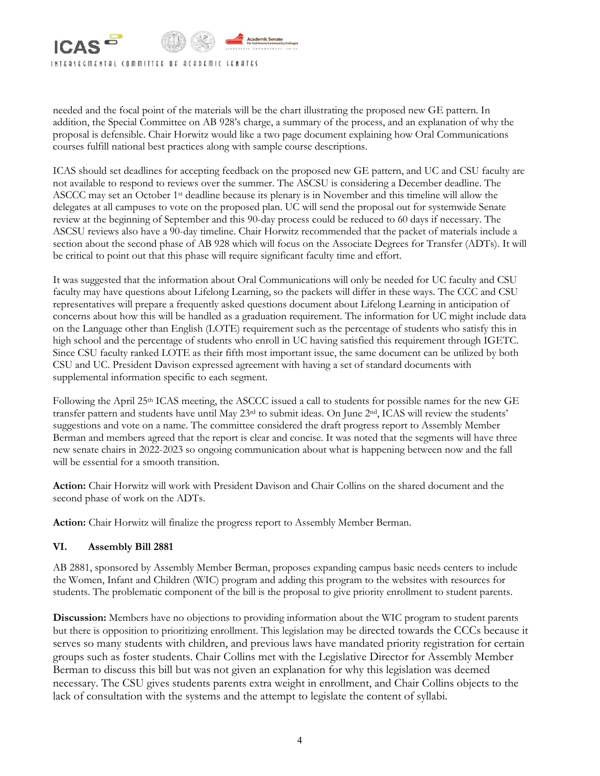

needed and the focal point of the materials will be the chart illustrating the proposed new GE pattern. In addition, the Special Committee on AB 928's charge, a summary of the process, and an explanation of why the proposal is defensible. Chair Horwitz would like a two page document explaining how Oral Communications courses fulfill national best practices along with sample course descriptions.

ICAS should set deadlines for accepting feedback on the proposed new GE pattern, and UC and CSU faculty are not available to respond to reviews over the summer. The ASCSU is considering a December deadline. The ASCCC may set an October 1<sup>st</sup> deadline because its plenary is in November and this timeline will allow the delegates at all campuses to vote on the proposed plan. UC will send the proposal out for systemwide Senate review at the beginning of September and this 90-day process could be reduced to 60 days if necessary. The ASCSU reviews also have a 90-day timeline. Chair Horwitz recommended that the packet of materials include a section about the second phase of AB 928 which will focus on the Associate Degrees for Transfer (ADTs). It will be critical to point out that this phase will require significant faculty time and effort.

It was suggested that the information about Oral Communications will only be needed for UC faculty and CSU faculty may have questions about Lifelong Learning, so the packets will differ in these ways. The CCC and CSU representatives will prepare a frequently asked questions document about Lifelong Learning in anticipation of concerns about how this will be handled as a graduation requirement. The information for UC might include data on the Language other than English (LOTE) requirement such as the percentage of students who satisfy this in high school and the percentage of students who enroll in UC having satisfied this requirement through IGETC. Since CSU faculty ranked LOTE as their fifth most important issue, the same document can be utilized by both CSU and UC. President Davison expressed agreement with having a set of standard documents with supplemental information specific to each segment.

Following the April 25<sup>th</sup> ICAS meeting, the ASCCC issued a call to students for possible names for the new GE transfer pattern and students have until May 23rd to submit ideas. On June 2nd, ICAS will review the students' suggestions and vote on a name. The committee considered the draft progress report to Assembly Member Berman and members agreed that the report is clear and concise. It was noted that the segments will have three new senate chairs in 2022-2023 so ongoing communication about what is happening between now and the fall will be essential for a smooth transition.

**Action:** Chair Horwitz will work with President Davison and Chair Collins on the shared document and the second phase of work on the ADTs.

**Action:** Chair Horwitz will finalize the progress report to Assembly Member Berman.

### **VI. Assembly Bill 2881**

AB 2881, sponsored by Assembly Member Berman, proposes expanding campus basic needs centers to include the Women, Infant and Children (WIC) program and adding this program to the websites with resources for students. The problematic component of the bill is the proposal to give priority enrollment to student parents.

**Discussion:** Members have no objections to providing information about the WIC program to student parents but there is opposition to prioritizing enrollment. This legislation may be directed towards the CCCs because it serves so many students with children, and previous laws have mandated priority registration for certain groups such as foster students. Chair Collins met with the Legislative Director for Assembly Member Berman to discuss this bill but was not given an explanation for why this legislation was deemed necessary. The CSU gives students parents extra weight in enrollment, and Chair Collins objects to the lack of consultation with the systems and the attempt to legislate the content of syllabi.